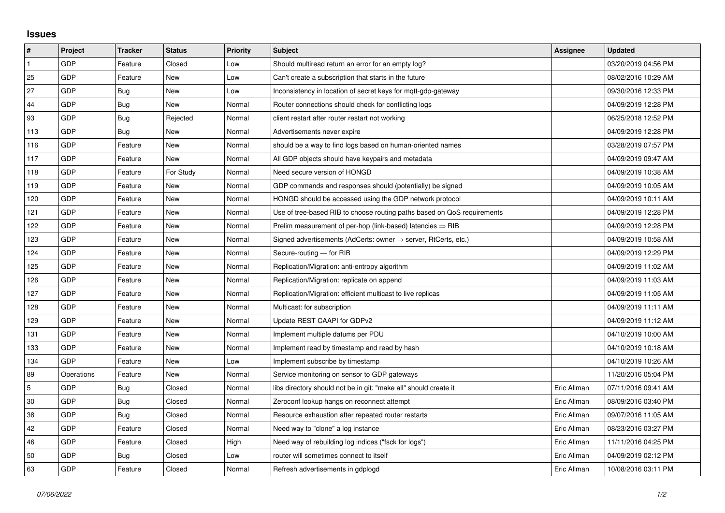## **Issues**

| $\sharp$       | <b>Project</b> | <b>Tracker</b> | <b>Status</b> | <b>Priority</b> | <b>Subject</b>                                                             | <b>Assignee</b> | <b>Updated</b>      |
|----------------|----------------|----------------|---------------|-----------------|----------------------------------------------------------------------------|-----------------|---------------------|
| $\mathbf{1}$   | GDP            | Feature        | Closed        | Low             | Should multiread return an error for an empty log?                         |                 | 03/20/2019 04:56 PM |
| 25             | GDP            | Feature        | New           | Low             | Can't create a subscription that starts in the future                      |                 | 08/02/2016 10:29 AM |
| 27             | GDP            | Bug            | New           | Low             | Inconsistency in location of secret keys for mgtt-gdp-gateway              |                 | 09/30/2016 12:33 PM |
| 44             | <b>GDP</b>     | <b>Bug</b>     | <b>New</b>    | Normal          | Router connections should check for conflicting logs                       |                 | 04/09/2019 12:28 PM |
| 93             | GDP            | Bug            | Rejected      | Normal          | client restart after router restart not working                            |                 | 06/25/2018 12:52 PM |
| 113            | GDP            | Bug            | New           | Normal          | Advertisements never expire                                                |                 | 04/09/2019 12:28 PM |
| 116            | GDP            | Feature        | New           | Normal          | should be a way to find logs based on human-oriented names                 |                 | 03/28/2019 07:57 PM |
| 117            | GDP            | Feature        | New           | Normal          | All GDP objects should have keypairs and metadata                          |                 | 04/09/2019 09:47 AM |
| 118            | GDP            | Feature        | For Study     | Normal          | Need secure version of HONGD                                               |                 | 04/09/2019 10:38 AM |
| 119            | GDP            | Feature        | <b>New</b>    | Normal          | GDP commands and responses should (potentially) be signed                  |                 | 04/09/2019 10:05 AM |
| 120            | GDP            | Feature        | <b>New</b>    | Normal          | HONGD should be accessed using the GDP network protocol                    |                 | 04/09/2019 10:11 AM |
| 121            | GDP            | Feature        | New           | Normal          | Use of tree-based RIB to choose routing paths based on QoS requirements    |                 | 04/09/2019 12:28 PM |
| 122            | GDP            | Feature        | <b>New</b>    | Normal          | Prelim measurement of per-hop (link-based) latencies $\Rightarrow$ RIB     |                 | 04/09/2019 12:28 PM |
| 123            | GDP            | Feature        | New           | Normal          | Signed advertisements (AdCerts: owner $\rightarrow$ server, RtCerts, etc.) |                 | 04/09/2019 10:58 AM |
| 124            | GDP            | Feature        | New           | Normal          | Secure-routing - for RIB                                                   |                 | 04/09/2019 12:29 PM |
| 125            | GDP            | Feature        | <b>New</b>    | Normal          | Replication/Migration: anti-entropy algorithm                              |                 | 04/09/2019 11:02 AM |
| 126            | GDP            | Feature        | New           | Normal          | Replication/Migration: replicate on append                                 |                 | 04/09/2019 11:03 AM |
| 127            | GDP            | Feature        | New           | Normal          | Replication/Migration: efficient multicast to live replicas                |                 | 04/09/2019 11:05 AM |
| 128            | GDP            | Feature        | <b>New</b>    | Normal          | Multicast: for subscription                                                |                 | 04/09/2019 11:11 AM |
| 129            | GDP            | Feature        | New           | Normal          | Update REST CAAPI for GDPv2                                                |                 | 04/09/2019 11:12 AM |
| 131            | GDP            | Feature        | New           | Normal          | Implement multiple datums per PDU                                          |                 | 04/10/2019 10:00 AM |
| 133            | GDP            | Feature        | <b>New</b>    | Normal          | Implement read by timestamp and read by hash                               |                 | 04/10/2019 10:18 AM |
| 134            | GDP            | Feature        | New           | Low             | Implement subscribe by timestamp                                           |                 | 04/10/2019 10:26 AM |
| 89             | Operations     | Feature        | New           | Normal          | Service monitoring on sensor to GDP gateways                               |                 | 11/20/2016 05:04 PM |
| $\overline{5}$ | GDP            | Bug            | Closed        | Normal          | libs directory should not be in git; "make all" should create it           | Eric Allman     | 07/11/2016 09:41 AM |
| 30             | GDP            | Bug            | Closed        | Normal          | Zeroconf lookup hangs on reconnect attempt                                 | Eric Allman     | 08/09/2016 03:40 PM |
| 38             | <b>GDP</b>     | Bug            | Closed        | Normal          | Resource exhaustion after repeated router restarts                         | Eric Allman     | 09/07/2016 11:05 AM |
| 42             | GDP            | Feature        | Closed        | Normal          | Need way to "clone" a log instance                                         | Eric Allman     | 08/23/2016 03:27 PM |
| 46             | GDP            | Feature        | Closed        | High            | Need way of rebuilding log indices ("fsck for logs")                       | Eric Allman     | 11/11/2016 04:25 PM |
| 50             | GDP            | Bug            | Closed        | Low             | router will sometimes connect to itself                                    | Eric Allman     | 04/09/2019 02:12 PM |
| 63             | GDP            | Feature        | Closed        | Normal          | Refresh advertisements in gdplogd                                          | Eric Allman     | 10/08/2016 03:11 PM |